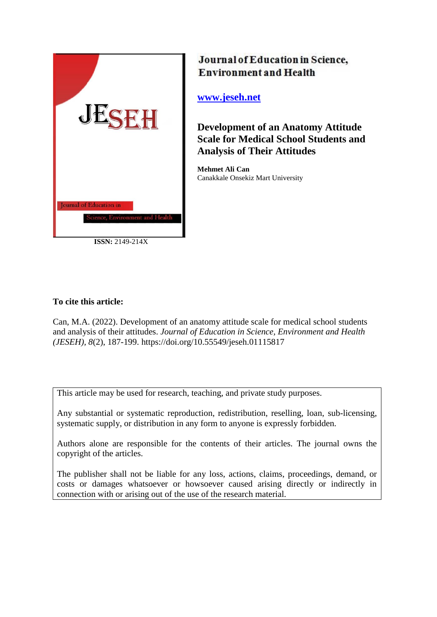

**ISSN:** 2149-214X

# Journal of Education in Science, **Environment and Health**

**[www.jeseh.net](file:///C:/Users/mustafa/Desktop/www.jeseh.net)**

**Development of an Anatomy Attitude Scale for Medical School Students and Analysis of Their Attitudes**

**Mehmet Ali Can** Canakkale Onsekiz Mart University

## **To cite this article:**

Can, M.A. (2022). Development of an anatomy attitude scale for medical school students and analysis of their attitudes. *Journal of Education in Science, Environment and Health (JESEH), 8*(2), 187-199. https://doi.org/10.55549/jeseh.01115817

This article may be used for research, teaching, and private study purposes.

Any substantial or systematic reproduction, redistribution, reselling, loan, sub-licensing, systematic supply, or distribution in any form to anyone is expressly forbidden.

Authors alone are responsible for the contents of their articles. The journal owns the copyright of the articles.

The publisher shall not be liable for any loss, actions, claims, proceedings, demand, or costs or damages whatsoever or howsoever caused arising directly or indirectly in connection with or arising out of the use of the research material.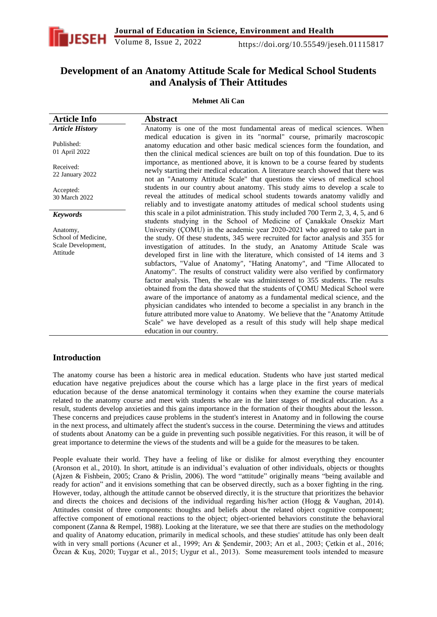

## **Development of an Anatomy Attitude Scale for Medical School Students and Analysis of Their Attitudes**

#### **Mehmet Ali Can**

| <b>Article Info</b>                                               | <b>Abstract</b>                                                                                                                                                                                                                                                                                                                                                                                                                                                                                                                                                                                                                                                                                                                                                                                                                                                                                                                                                                                                                                                                                    |
|-------------------------------------------------------------------|----------------------------------------------------------------------------------------------------------------------------------------------------------------------------------------------------------------------------------------------------------------------------------------------------------------------------------------------------------------------------------------------------------------------------------------------------------------------------------------------------------------------------------------------------------------------------------------------------------------------------------------------------------------------------------------------------------------------------------------------------------------------------------------------------------------------------------------------------------------------------------------------------------------------------------------------------------------------------------------------------------------------------------------------------------------------------------------------------|
| <b>Article History</b>                                            | Anatomy is one of the most fundamental areas of medical sciences. When                                                                                                                                                                                                                                                                                                                                                                                                                                                                                                                                                                                                                                                                                                                                                                                                                                                                                                                                                                                                                             |
| Published:<br>01 April 2022                                       | medical education is given in its "normal" course, primarily macroscopic<br>anatomy education and other basic medical sciences form the foundation, and<br>then the clinical medical sciences are built on top of this foundation. Due to its                                                                                                                                                                                                                                                                                                                                                                                                                                                                                                                                                                                                                                                                                                                                                                                                                                                      |
| Received:<br>22 January 2022                                      | importance, as mentioned above, it is known to be a course feared by students<br>newly starting their medical education. A literature search showed that there was<br>not an "Anatomy Attitude Scale" that questions the views of medical school                                                                                                                                                                                                                                                                                                                                                                                                                                                                                                                                                                                                                                                                                                                                                                                                                                                   |
| Accepted:<br>30 March 2022                                        | students in our country about anatomy. This study aims to develop a scale to<br>reveal the attitudes of medical school students towards anatomy validly and<br>reliably and to investigate anatomy attitudes of medical school students using                                                                                                                                                                                                                                                                                                                                                                                                                                                                                                                                                                                                                                                                                                                                                                                                                                                      |
| <b>Keywords</b>                                                   | this scale in a pilot administration. This study included 700 Term 2, 3, 4, 5, and 6                                                                                                                                                                                                                                                                                                                                                                                                                                                                                                                                                                                                                                                                                                                                                                                                                                                                                                                                                                                                               |
| Anatomy,<br>School of Medicine,<br>Scale Development,<br>Attitude | students studying in the School of Medicine of Canakkale Onsekiz Mart<br>University (COMU) in the academic year 2020-2021 who agreed to take part in<br>the study. Of these students, 345 were recruited for factor analysis and 355 for<br>investigation of attitudes. In the study, an Anatomy Attitude Scale was<br>developed first in line with the literature, which consisted of 14 items and 3<br>subfactors, "Value of Anatomy", "Hating Anatomy", and "Time Allocated to<br>Anatomy". The results of construct validity were also verified by confirmatory<br>factor analysis. Then, the scale was administered to 355 students. The results<br>obtained from the data showed that the students of COMU Medical School were<br>aware of the importance of anatomy as a fundamental medical science, and the<br>physician candidates who intended to become a specialist in any branch in the<br>future attributed more value to Anatomy. We believe that the "Anatomy Attitude<br>Scale" we have developed as a result of this study will help shape medical<br>education in our country. |

## **Introduction**

The anatomy course has been a historic area in medical education. Students who have just started medical education have negative prejudices about the course which has a large place in the first years of medical education because of the dense anatomical terminology it contains when they examine the course materials related to the anatomy course and meet with students who are in the later stages of medical education. As a result, students develop anxieties and this gains importance in the formation of their thoughts about the lesson. These concerns and prejudices cause problems in the student's interest in Anatomy and in following the course in the next process, and ultimately affect the student's success in the course. Determining the views and attitudes of students about Anatomy can be a guide in preventing such possible negativities. For this reason, it will be of great importance to determine the views of the students and will be a guide for the measures to be taken.

People evaluate their world. They have a feeling of like or dislike for almost everything they encounter (Aronson et al., 2010). In short, attitude is an individual's evaluation of other individuals, objects or thoughts (Ajzen & Fishbein, 2005; Crano & Prislin, 2006). The word "attitude" originally means "being available and ready for action" and it envisions something that can be observed directly, such as a boxer fighting in the ring. However, today, although the attitude cannot be observed directly, it is the structure that prioritizes the behavior and directs the choices and decisions of the individual regarding his/her action (Hogg & Vaughan, 2014). Attitudes consist of three components: thoughts and beliefs about the related object cognitive component; affective component of emotional reactions to the object; object-oriented behaviors constitute the behavioral component (Zanna & Rempel, 1988). Looking at the literature, we see that there are studies on the methodology and quality of Anatomy education, primarily in medical schools, and these studies' attitude has only been dealt with in very small portions (Acuner et al., 1999; Arı & Şendemir, 2003; Arı et al., 2003; Çetkin et al., 2016; Özcan & Kuş, 2020; Tuygar et al., 2015; Uygur et al., 2013). Some measurement tools intended to measure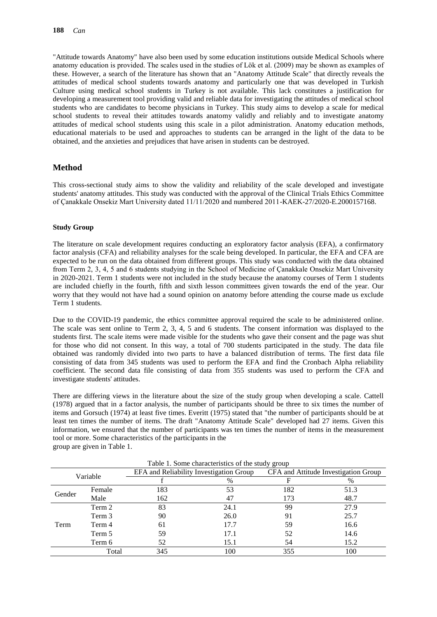"Attitude towards Anatomy" have also been used by some education institutions outside Medical Schools where anatomy education is provided. The scales used in the studies of Lök et al. (2009) may be shown as examples of these. However, a search of the literature has shown that an "Anatomy Attitude Scale" that directly reveals the attitudes of medical school students towards anatomy and particularly one that was developed in Turkish Culture using medical school students in Turkey is not available. This lack constitutes a justification for developing a measurement tool providing valid and reliable data for investigating the attitudes of medical school students who are candidates to become physicians in Turkey. This study aims to develop a scale for medical school students to reveal their attitudes towards anatomy validly and reliably and to investigate anatomy attitudes of medical school students using this scale in a pilot administration. Anatomy education methods, educational materials to be used and approaches to students can be arranged in the light of the data to be obtained, and the anxieties and prejudices that have arisen in students can be destroyed.

## **Method**

This cross-sectional study aims to show the validity and reliability of the scale developed and investigate students' anatomy attitudes. This study was conducted with the approval of the Clinical Trials Ethics Committee of Çanakkale Onsekiz Mart University dated 11/11/2020 and numbered 2011-KAEK-27/2020-E.2000157168.

#### **Study Group**

The literature on scale development requires conducting an exploratory factor analysis (EFA), a confirmatory factor analysis (CFA) and reliability analyses for the scale being developed. In particular, the EFA and CFA are expected to be run on the data obtained from different groups. This study was conducted with the data obtained from Term 2, 3, 4, 5 and 6 students studying in the School of Medicine of Çanakkale Onsekiz Mart University in 2020-2021. Term 1 students were not included in the study because the anatomy courses of Term 1 students are included chiefly in the fourth, fifth and sixth lesson committees given towards the end of the year. Our worry that they would not have had a sound opinion on anatomy before attending the course made us exclude Term 1 students.

Due to the COVID-19 pandemic, the ethics committee approval required the scale to be administered online. The scale was sent online to Term 2, 3, 4, 5 and 6 students. The consent information was displayed to the students first. The scale items were made visible for the students who gave their consent and the page was shut for those who did not consent. In this way, a total of 700 students participated in the study. The data file obtained was randomly divided into two parts to have a balanced distribution of terms. The first data file consisting of data from 345 students was used to perform the EFA and find the Cronbach Alpha reliability coefficient. The second data file consisting of data from 355 students was used to perform the CFA and investigate students' attitudes.

There are differing views in the literature about the size of the study group when developing a scale. Cattell (1978) argued that in a factor analysis, the number of participants should be three to six times the number of items and Gorsuch (1974) at least five times. Everitt (1975) stated that "the number of participants should be at least ten times the number of items. The draft "Anatomy Attitude Scale" developed had 27 items. Given this information, we ensured that the number of participants was ten times the number of items in the measurement tool or more. Some characteristics of the participants in the group are given in Table 1.

| Table 1. Some characteristics of the study group |        |                                         |      |     |                                      |  |  |
|--------------------------------------------------|--------|-----------------------------------------|------|-----|--------------------------------------|--|--|
| Variable                                         |        | EFA and Reliability Investigation Group |      |     | CFA and Attitude Investigation Group |  |  |
|                                                  |        |                                         | %    |     | %                                    |  |  |
|                                                  | Female | 183                                     | 53   | 182 | 51.3                                 |  |  |
| Gender                                           | Male   | 162                                     | 47   | 173 | 48.7                                 |  |  |
|                                                  | Term 2 | 83                                      | 24.1 | 99  | 27.9                                 |  |  |
|                                                  | Term 3 | 90                                      | 26.0 | -91 | 25.7                                 |  |  |
| Term                                             | Term 4 | 61                                      | 17.7 | 59  | 16.6                                 |  |  |
|                                                  | Term 5 | 59                                      | 17.1 | 52  | 14.6                                 |  |  |
|                                                  | Term 6 | 52                                      | 15.1 | 54  | 15.2                                 |  |  |
|                                                  | Total  | 345                                     | 100  | 355 | 100                                  |  |  |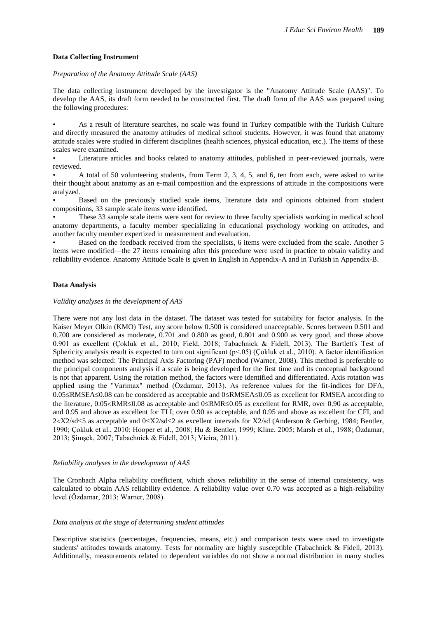## **Data Collecting Instrument**

#### *Preparation of the Anatomy Attitude Scale (AAS)*

The data collecting instrument developed by the investigator is the "Anatomy Attitude Scale (AAS)". To develop the AAS, its draft form needed to be constructed first. The draft form of the AAS was prepared using the following procedures:

• As a result of literature searches, no scale was found in Turkey compatible with the Turkish Culture and directly measured the anatomy attitudes of medical school students. However, it was found that anatomy attitude scales were studied in different disciplines (health sciences, physical education, etc.). The items of these scales were examined.

• Literature articles and books related to anatomy attitudes, published in peer-reviewed journals, were reviewed.

• A total of 50 volunteering students, from Term 2, 3, 4, 5, and 6, ten from each, were asked to write their thought about anatomy as an e-mail composition and the expressions of attitude in the compositions were analyzed.

• Based on the previously studied scale items, literature data and opinions obtained from student compositions, 33 sample scale items were identified.

• These 33 sample scale items were sent for review to three faculty specialists working in medical school anatomy departments, a faculty member specializing in educational psychology working on attitudes, and another faculty member expertized in measurement and evaluation.

• Based on the feedback received from the specialists, 6 items were excluded from the scale. Another 5 items were modified—the 27 items remaining after this procedure were used in practice to obtain validity and reliability evidence. Anatomy Attitude Scale is given in English in Appendix-A and in Turkish in Appendix-B.

## **Data Analysis**

#### *Validity analyses in the development of AAS*

There were not any lost data in the dataset. The dataset was tested for suitability for factor analysis. In the Kaiser Meyer Olkin (KMO) Test, any score below 0.500 is considered unacceptable. Scores between 0.501 and 0.700 are considered as moderate, 0.701 and 0.800 as good, 0.801 and 0.900 as very good, and those above 0.901 as excellent (Çokluk et al., 2010; Field, 2018; Tabachnick & Fidell, 2013). The Bartlett's Test of Sphericity analysis result is expected to turn out significant ( $p<05$ ) (Cokluk et al., 2010). A factor identification method was selected: The Principal Axis Factoring (PAF) method (Warner, 2008). This method is preferable to the principal components analysis if a scale is being developed for the first time and its conceptual background is not that apparent. Using the rotation method, the factors were identified and differentiated. Axis rotation was applied using the "Varimax" method (Özdamar, 2013). As reference values for the fit-indices for DFA,  $0.05 \leq$ RMSEA $\leq$ 0.08 can be considered as acceptable and 0 $\leq$ RMSEA $\leq$ 0.05 as excellent for RMSEA according to the literature,  $0.05 \times \text{RMR} \leq 0.08$  as acceptable and  $0 \leq \text{RMR} \leq 0.05$  as excellent for RMR, over 0.90 as acceptable, and 0.95 and above as excellent for TLI, over 0.90 as acceptable, and 0.95 and above as excellent for CFI, and  $2 < X2$ /sd $\leq$ 5 as acceptable and  $0 \leq X2$ /sd $\leq$ 2 as excellent intervals for X2/sd (Anderson & Gerbing, 1984; Bentler, 1990; Çokluk et al., 2010; Hooper et al., 2008; Hu & Bentler, 1999; Kline, 2005; Marsh et al., 1988; Özdamar, 2013; Şimşek, 2007; Tabachnick & Fidell, 2013; Vieira, 2011).

## *Reliability analyses in the development of AAS*

The Cronbach Alpha reliability coefficient, which shows reliability in the sense of internal consistency, was calculated to obtain AAS reliability evidence. A reliability value over 0.70 was accepted as a high-reliability level (Özdamar, 2013; Warner, 2008).

#### *Data analysis at the stage of determining student attitudes*

Descriptive statistics (percentages, frequencies, means, etc.) and comparison tests were used to investigate students' attitudes towards anatomy. Tests for normality are highly susceptible (Tabachnick & Fidell, 2013). Additionally, measurements related to dependent variables do not show a normal distribution in many studies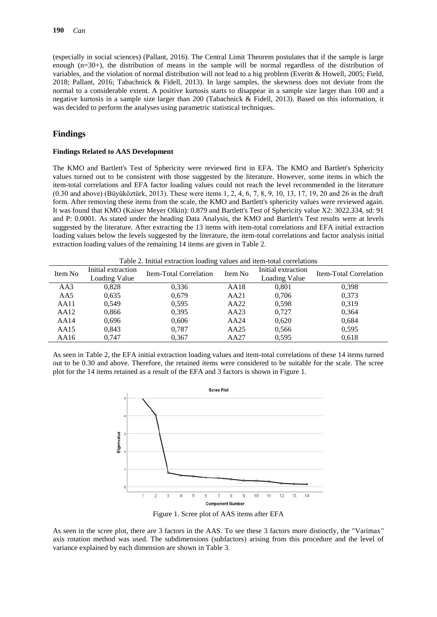(especially in social sciences) (Pallant, 2016). The Central Limit Theorem postulates that if the sample is large enough (n=30+), the distribution of means in the sample will be normal regardless of the distribution of variables, and the violation of normal distribution will not lead to a big problem (Everitt & Howell, 2005; Field, 2018; Pallant, 2016; Tabachnick & Fidell, 2013). In large samples, the skewness does not deviate from the normal to a considerable extent. A positive kurtosis starts to disappear in a sample size larger than 100 and a negative kurtosis in a sample size larger than 200 (Tabachnick & Fidell, 2013). Based on this information, it was decided to perform the analyses using parametric statistical techniques.

## **Findings**

#### **Findings Related to AAS Development**

The KMO and Bartlett's Test of Sphericity were reviewed first in EFA. The KMO and Bartlett's Sphericity values turned out to be consistent with those suggested by the literature. However, some items in which the item-total correlations and EFA factor loading values could not reach the level recommended in the literature (0.30 and above) (Büyüköztürk, 2013). These were items 1, 2, 4, 6, 7, 8, 9, 10, 13, 17, 19, 20 and 26 in the draft form. After removing these items from the scale, the KMO and Bartlett's sphericity values were reviewed again. It was found that KMO (Kaiser Meyer Olkin): 0.879 and Bartlett's Test of Sphericity value X2: 3022.334, sd: 91 and P: 0.0001. As stated under the heading Data Analysis, the KMO and Bartlett's Test results were at levels suggested by the literature. After extracting the 13 items with item-total correlations and EFA initial extraction loading values below the levels suggested by the literature, the item-total correlations and factor analysis initial extraction loading values of the remaining 14 items are given in Table 2.

Table 2. Initial extraction loading values and item-total correlations

| Item No | Initial extraction<br>Loading Value | Item-Total Correlation | Item No | Initial extraction<br>Loading Value | Item-Total Correlation |
|---------|-------------------------------------|------------------------|---------|-------------------------------------|------------------------|
| AA3     | 0,828                               | 0.336                  | AA18    | 0,801                               | 0,398                  |
| AA5     | 0.635                               | 0,679                  | AA21    | 0,706                               | 0,373                  |
| AA11    | 0.549                               | 0.595                  | AA22    | 0.598                               | 0,319                  |
| AA12    | 0,866                               | 0,395                  | AA23    | 0,727                               | 0,364                  |
| AA14    | 0,696                               | 0,606                  | AA24    | 0,620                               | 0,684                  |
| AA15    | 0,843                               | 0,787                  | AA25    | 0,566                               | 0.595                  |
| AA16    | 0.747                               | 0.367                  | AA27    | 0.595                               | 0.618                  |

As seen in Table 2, the EFA initial extraction loading values and item-total correlations of these 14 items turned out to be 0.30 and above. Therefore, the retained items were considered to be suitable for the scale. The scree plot for the 14 items retained as a result of the EFA and 3 factors is shown in Figure 1.



Figure 1. Scree plot of AAS items after EFA

As seen in the scree plot, there are 3 factors in the AAS. To see these 3 factors more distinctly, the "Varimax" axis rotation method was used. The subdimensions (subfactors) arising from this procedure and the level of variance explained by each dimension are shown in Table 3.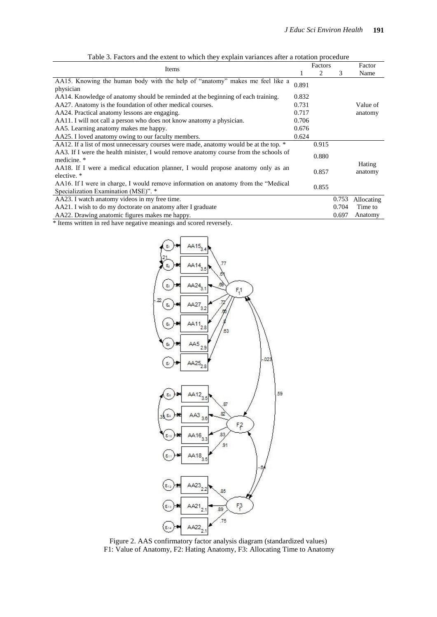|                                                                                       |       | Factors |       | Factor     |
|---------------------------------------------------------------------------------------|-------|---------|-------|------------|
| Items                                                                                 |       | 2       | 3     | Name       |
| AA15. Knowing the human body with the help of "anatomy" makes me feel like a          | 0.891 |         |       |            |
| physician                                                                             |       |         |       |            |
| AA14. Knowledge of anatomy should be reminded at the beginning of each training.      | 0.832 |         |       |            |
| AA27. Anatomy is the foundation of other medical courses.                             | 0.731 |         |       | Value of   |
| AA24. Practical anatomy lessons are engaging.                                         | 0.717 |         |       | anatomy    |
| AA11. I will not call a person who does not know anatomy a physician.                 | 0.706 |         |       |            |
| AA5. Learning anatomy makes me happy.                                                 | 0.676 |         |       |            |
| AA25. I loved anatomy owing to our faculty members.                                   | 0.624 |         |       |            |
| AA12. If a list of most unnecessary courses were made, anatomy would be at the top. * |       | 0.915   |       |            |
| AA3. If I were the health minister, I would remove anatomy course from the schools of |       | 0.880   |       |            |
| medicine. *                                                                           |       |         |       | Hating     |
| AA18. If I were a medical education planner, I would propose anatomy only as an       |       | 0.857   |       | anatomy    |
| elective. *                                                                           |       |         |       |            |
| AA16. If I were in charge, I would remove information on anatomy from the "Medical    |       | 0.855   |       |            |
| Specialization Examination (MSE)". *                                                  |       |         |       |            |
| AA23. I watch anatomy videos in my free time.                                         |       |         | 0.753 | Allocating |
| AA21. I wish to do my doctorate on anatomy after I graduate                           |       |         | 0.704 | Time to    |
| AA22. Drawing anatomic figures makes me happy.                                        |       |         | 0.697 | Anatomy    |

Table 3. Factors and the extent to which they explain variances after a rotation procedure

\* Items written in red have negative meanings and scored reversely.



Figure 2. AAS confirmatory factor analysis diagram (standardized values) F1: Value of Anatomy, F2: Hating Anatomy, F3: Allocating Time to Anatomy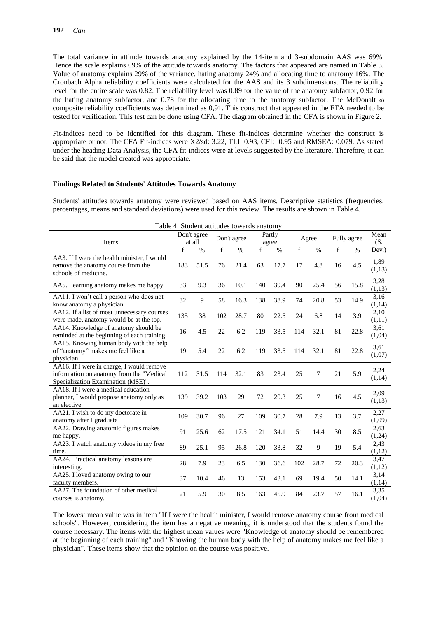The total variance in attitude towards anatomy explained by the 14-item and 3-subdomain AAS was 69%. Hence the scale explains 69% of the attitude towards anatomy. The factors that appeared are named in Table 3. Value of anatomy explains 29% of the variance, hating anatomy 24% and allocating time to anatomy 16%. The Cronbach Alpha reliability coefficients were calculated for the AAS and its 3 subdimensions. The reliability level for the entire scale was 0.82. The reliability level was 0.89 for the value of the anatomy subfactor, 0.92 for the hating anatomy subfactor, and 0.78 for the allocating time to the anatomy subfactor. The McDonalt  $\omega$ composite reliability coefficients was determined as 0,91. This construct that appeared in the EFA needed to be tested for verification. This test can be done using CFA. The diagram obtained in the CFA is shown in Figure 2.

Fit-indices need to be identified for this diagram. These fit-indices determine whether the construct is appropriate or not. The CFA Fit-indices were X2/sd: 3.22, TLI: 0.93, CFI: 0.95 and RMSEA: 0.079. As stated under the heading Data Analysis, the CFA fit-indices were at levels suggested by the literature. Therefore, it can be said that the model created was appropriate.

#### **Findings Related to Students' Attitudes Towards Anatomy**

Students' attitudes towards anatomy were reviewed based on AAS items. Descriptive statistics (frequencies, percentages, means and standard deviations) were used for this review. The results are shown in Table 4.

| Table 4. Student attitudes towards anatomy                                                                                  |                       |      |             |      |                 |      |       |      |             |      |                |
|-----------------------------------------------------------------------------------------------------------------------------|-----------------------|------|-------------|------|-----------------|------|-------|------|-------------|------|----------------|
| Items                                                                                                                       | Don't agree<br>at all |      | Don't agree |      | Partly<br>agree |      | Agree |      | Fully agree |      | Mean<br>(S,    |
|                                                                                                                             | f                     | $\%$ | $\mathbf f$ | $\%$ | f               | %    | f     | $\%$ | $\mathbf f$ | $\%$ | Dev.)          |
| AA3. If I were the health minister, I would<br>remove the anatomy course from the<br>schools of medicine.                   | 183                   | 51.5 | 76          | 21.4 | 63              | 17.7 | 17    | 4.8  | 16          | 4.5  | 1,89<br>(1,13) |
| AA5. Learning anatomy makes me happy.                                                                                       | 33                    | 9.3  | 36          | 10.1 | 140             | 39.4 | 90    | 25.4 | 56          | 15.8 | 3,28<br>(1,13) |
| AA11. I won't call a person who does not<br>know anatomy a physician.                                                       | 32                    | 9    | 58          | 16.3 | 138             | 38.9 | 74    | 20.8 | 53          | 14.9 | 3,16<br>(1,14) |
| AA12. If a list of most unnecessary courses<br>were made, anatomy would be at the top.                                      | 135                   | 38   | 102         | 28.7 | 80              | 22.5 | 24    | 6.8  | 14          | 3.9  | 2,10<br>(1,11) |
| AA14. Knowledge of anatomy should be<br>reminded at the beginning of each training.                                         | 16                    | 4.5  | 22          | 6.2  | 119             | 33.5 | 114   | 32.1 | 81          | 22.8 | 3,61<br>(1,04) |
| AA15. Knowing human body with the help<br>of "anatomy" makes me feel like a<br>physician                                    | 19                    | 5.4  | 22          | 6.2  | 119             | 33.5 | 114   | 32.1 | 81          | 22.8 | 3,61<br>(1,07) |
| AA16. If I were in charge, I would remove<br>information on anatomy from the "Medical<br>Specialization Examination (MSE)". | 112                   | 31.5 | 114         | 32.1 | 83              | 23.4 | 25    | 7    | 21          | 5.9  | 2,24<br>(1,14) |
| AA18. If I were a medical education<br>planner, I would propose anatomy only as<br>an elective.                             | 139                   | 39.2 | 103         | 29   | 72              | 20.3 | 25    | 7    | 16          | 4.5  | 2,09<br>(1,13) |
| AA21. I wish to do my doctorate in<br>anatomy after I graduate                                                              | 109                   | 30.7 | 96          | 27   | 109             | 30.7 | 28    | 7.9  | 13          | 3.7  | 2,27<br>(1,09) |
| AA22. Drawing anatomic figures makes<br>me happy.                                                                           | 91                    | 25.6 | 62          | 17.5 | 121             | 34.1 | 51    | 14.4 | 30          | 8.5  | 2,63<br>(1,24) |
| AA23. I watch anatomy videos in my free<br>time.                                                                            | 89                    | 25.1 | 95          | 26.8 | 120             | 33.8 | 32    | 9    | 19          | 5.4  | 2,43<br>(1,12) |
| AA24. Practical anatomy lessons are<br>interesting.                                                                         | 28                    | 7.9  | 23          | 6.5  | 130             | 36.6 | 102   | 28.7 | 72          | 20.3 | 3,47<br>(1,12) |
| AA25. I loved anatomy owing to our<br>faculty members.                                                                      | 37                    | 10.4 | 46          | 13   | 153             | 43.1 | 69    | 19.4 | 50          | 14.1 | 3,14<br>(1,14) |
| AA27. The foundation of other medical<br>courses is anatomy.                                                                | 21                    | 5.9  | 30          | 8.5  | 163             | 45.9 | 84    | 23.7 | 57          | 16.1 | 3,35<br>(1,04) |

The lowest mean value was in item "If I were the health minister, I would remove anatomy course from medical schools". However, considering the item has a negative meaning, it is understood that the students found the course necessary. The items with the highest mean values were "Knowledge of anatomy should be remembered at the beginning of each training" and "Knowing the human body with the help of anatomy makes me feel like a physician". These items show that the opinion on the course was positive.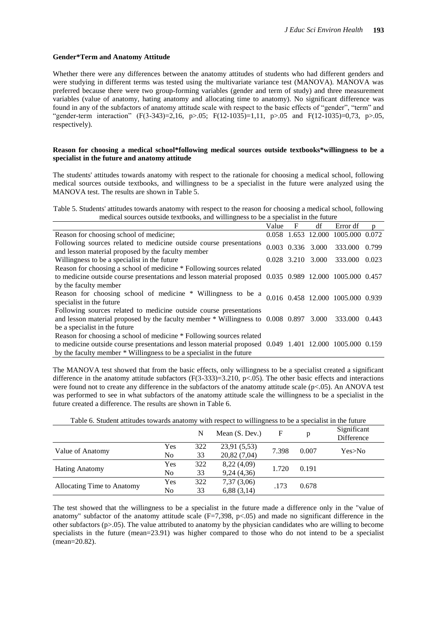#### **Gender\*Term and Anatomy Attitude**

Whether there were any differences between the anatomy attitudes of students who had different genders and were studying in different terms was tested using the multivariate variance test (MANOVA). MANOVA was preferred because there were two group-forming variables (gender and term of study) and three measurement variables (value of anatomy, hating anatomy and allocating time to anatomy). No significant difference was found in any of the subfactors of anatomy attitude scale with respect to the basic effects of "gender", "term" and "gender-term interaction" (F(3-343)=2,16, p>.05; F(12-1035)=1,11, p>.05 and F(12-1035)=0,73, p>.05, respectively).

#### **Reason for choosing a medical school\*following medical sources outside textbooks\*willingness to be a specialist in the future and anatomy attitude**

The students' attitudes towards anatomy with respect to the rationale for choosing a medical school, following medical sources outside textbooks, and willingness to be a specialist in the future were analyzed using the MANOVA test. The results are shown in Table 5.

Table 5. Students' attitudes towards anatomy with respect to the reason for choosing a medical school, following medical sources outside textbooks, and willingness to be a specialist in the future

|                                                                                                                            | Value | $\mathbf{F}$ | df                  | Error df                          | p     |
|----------------------------------------------------------------------------------------------------------------------------|-------|--------------|---------------------|-----------------------------------|-------|
| Reason for choosing school of medicine;                                                                                    |       |              |                     | 0.058 1.653 12.000 1005.000 0.072 |       |
| Following sources related to medicine outside course presentations<br>and lesson material proposed by the faculty member   |       |              | $0.003$ 0.336 3.000 | 333.000                           | 0.799 |
| Willingness to be a specialist in the future                                                                               |       |              | 0.028 3.210 3.000   | 333.000                           | 0.023 |
| Reason for choosing a school of medicine * Following sources related                                                       |       |              |                     |                                   |       |
| to medicine outside course presentations and lesson material proposed 0.035 0.989 12.000 1005.000 0.457                    |       |              |                     |                                   |       |
| by the faculty member                                                                                                      |       |              |                     |                                   |       |
| Reason for choosing school of medicine * Willingness to be a 0.016 0.458 12.000 1005.000 0.939<br>specialist in the future |       |              |                     |                                   |       |
| Following sources related to medicine outside course presentations                                                         |       |              |                     |                                   |       |
| and lesson material proposed by the faculty member * Willingness to 0.008 0.897 3.000                                      |       |              |                     | 333.000 0.443                     |       |
| be a specialist in the future                                                                                              |       |              |                     |                                   |       |
| Reason for choosing a school of medicine * Following sources related                                                       |       |              |                     |                                   |       |
| to medicine outside course presentations and lesson material proposed 0.049 1.401 12.000 1005.000 0.159                    |       |              |                     |                                   |       |
| by the faculty member * Willingness to be a specialist in the future                                                       |       |              |                     |                                   |       |

The MANOVA test showed that from the basic effects, only willingness to be a specialist created a significant difference in the anatomy attitude subfactors  $(F(3-333)=3.210, p<0.05)$ . The other basic effects and interactions were found not to create any difference in the subfactors of the anatomy attitude scale (p<.05). An ANOVA test was performed to see in what subfactors of the anatomy attitude scale the willingness to be a specialist in the future created a difference. The results are shown in Table 6.

|                            |                        | N   | Mean $(S. Dev.)$ | F     | p     | Significant<br>Difference |
|----------------------------|------------------------|-----|------------------|-------|-------|---------------------------|
|                            | Yes                    | 322 | 23,91 (5,53)     | 7.398 | 0.007 | Yes>No                    |
| Value of Anatomy           | No                     | 33  | 20,82 (7,04)     |       |       |                           |
|                            | Yes                    | 322 | 8,22 (4,09)      | 1.720 | 0.191 |                           |
| <b>Hating Anatomy</b>      | No                     | 33  | 9,24(4,36)       |       |       |                           |
|                            | Yes                    | 322 | 7,37(3,06)       | .173  | 0.678 |                           |
| Allocating Time to Anatomy | 33<br>No<br>6,88(3,14) |     |                  |       |       |                           |

Table 6. Student attitudes towards anatomy with respect to willingness to be a specialist in the future

The test showed that the willingness to be a specialist in the future made a difference only in the "value of anatomy" subfactor of the anatomy attitude scale  $(F=7,398, p<.05)$  and made no significant difference in the other subfactors  $(p>0.05)$ . The value attributed to anatomy by the physician candidates who are willing to become specialists in the future (mean=23.91) was higher compared to those who do not intend to be a specialist (mean=20.82).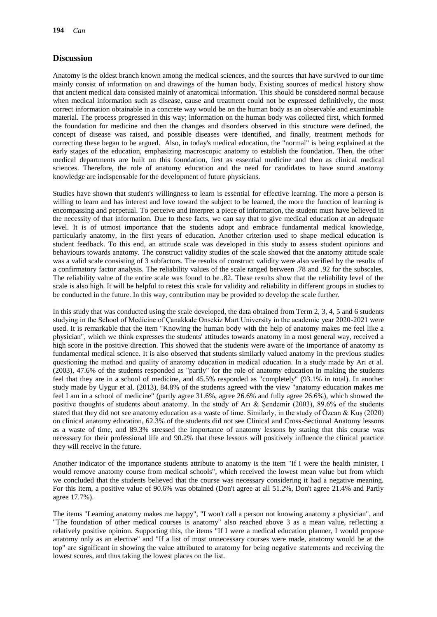## **Discussion**

Anatomy is the oldest branch known among the medical sciences, and the sources that have survived to our time mainly consist of information on and drawings of the human body. Existing sources of medical history show that ancient medical data consisted mainly of anatomical information. This should be considered normal because when medical information such as disease, cause and treatment could not be expressed definitively, the most correct information obtainable in a concrete way would be on the human body as an observable and examinable material. The process progressed in this way; information on the human body was collected first, which formed the foundation for medicine and then the changes and disorders observed in this structure were defined, the concept of disease was raised, and possible diseases were identified, and finally, treatment methods for correcting these began to be argued. Also, in today's medical education, the "normal" is being explained at the early stages of the education, emphasizing macroscopic anatomy to establish the foundation. Then, the other medical departments are built on this foundation, first as essential medicine and then as clinical medical sciences. Therefore, the role of anatomy education and the need for candidates to have sound anatomy knowledge are indispensable for the development of future physicians.

Studies have shown that student's willingness to learn is essential for effective learning. The more a person is willing to learn and has interest and love toward the subject to be learned, the more the function of learning is encompassing and perpetual. To perceive and interpret a piece of information, the student must have believed in the necessity of that information. Due to these facts, we can say that to give medical education at an adequate level. It is of utmost importance that the students adopt and embrace fundamental medical knowledge, particularly anatomy, in the first years of education. Another criterion used to shape medical education is student feedback. To this end, an attitude scale was developed in this study to assess student opinions and behaviours towards anatomy. The construct validity studies of the scale showed that the anatomy attitude scale was a valid scale consisting of 3 subfactors. The results of construct validity were also verified by the results of a confirmatory factor analysis. The reliability values of the scale ranged between .78 and .92 for the subscales. The reliability value of the entire scale was found to be .82. These results show that the reliability level of the scale is also high. It will be helpful to retest this scale for validity and reliability in different groups in studies to be conducted in the future. In this way, contribution may be provided to develop the scale further.

In this study that was conducted using the scale developed, the data obtained from Term 2, 3, 4, 5 and 6 students studying in the School of Medicine of Çanakkale Onsekiz Mart University in the academic year 2020-2021 were used. It is remarkable that the item "Knowing the human body with the help of anatomy makes me feel like a physician", which we think expresses the students' attitudes towards anatomy in a most general way, received a high score in the positive direction. This showed that the students were aware of the importance of anatomy as fundamental medical science. It is also observed that students similarly valued anatomy in the previous studies questioning the method and quality of anatomy education in medical education. In a study made by Arı et al. (2003), 47.6% of the students responded as "partly" for the role of anatomy education in making the students feel that they are in a school of medicine, and 45.5% responded as "completely" (93.1% in total). In another study made by Uygur et al. (2013), 84.8% of the students agreed with the view "anatomy education makes me feel I am in a school of medicine" (partly agree 31.6%, agree 26.6% and fully agree 26.6%), which showed the positive thoughts of students about anatomy. In the study of Arı & Şendemir (2003), 89.6% of the students stated that they did not see anatomy education as a waste of time. Similarly, in the study of Özcan & Kuş (2020) on clinical anatomy education, 62.3% of the students did not see Clinical and Cross-Sectional Anatomy lessons as a waste of time, and 89.3% stressed the importance of anatomy lessons by stating that this course was necessary for their professional life and 90.2% that these lessons will positively influence the clinical practice they will receive in the future.

Another indicator of the importance students attribute to anatomy is the item "If I were the health minister, I would remove anatomy course from medical schools", which received the lowest mean value but from which we concluded that the students believed that the course was necessary considering it had a negative meaning. For this item, a positive value of 90.6% was obtained (Don't agree at all 51.2%, Don't agree 21.4% and Partly agree 17.7%).

The items "Learning anatomy makes me happy", "I won't call a person not knowing anatomy a physician", and "The foundation of other medical courses is anatomy" also reached above 3 as a mean value, reflecting a relatively positive opinion. Supporting this, the items "If I were a medical education planner, I would propose anatomy only as an elective" and "If a list of most unnecessary courses were made, anatomy would be at the top" are significant in showing the value attributed to anatomy for being negative statements and receiving the lowest scores, and thus taking the lowest places on the list.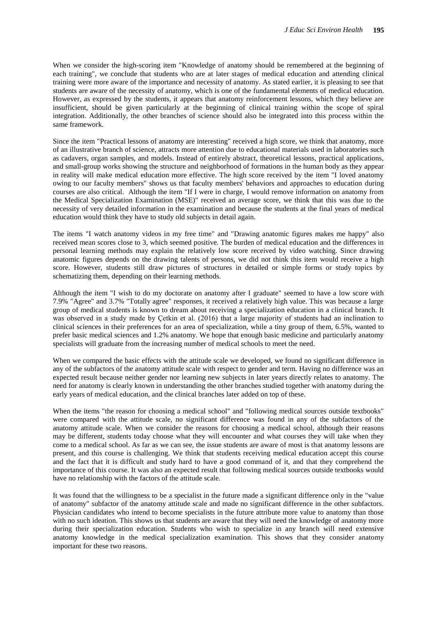When we consider the high-scoring item "Knowledge of anatomy should be remembered at the beginning of each training", we conclude that students who are at later stages of medical education and attending clinical training were more aware of the importance and necessity of anatomy. As stated earlier, it is pleasing to see that students are aware of the necessity of anatomy, which is one of the fundamental elements of medical education. However, as expressed by the students, it appears that anatomy reinforcement lessons, which they believe are insufficient, should be given particularly at the beginning of clinical training within the scope of spiral integration. Additionally, the other branches of science should also be integrated into this process within the same framework.

Since the item "Practical lessons of anatomy are interesting" received a high score, we think that anatomy, more of an illustrative branch of science, attracts more attention due to educational materials used in laboratories such as cadavers, organ samples, and models. Instead of entirely abstract, theoretical lessons, practical applications, and small-group works showing the structure and neighborhood of formations in the human body as they appear in reality will make medical education more effective. The high score received by the item "I loved anatomy owing to our faculty members" shows us that faculty members' behaviors and approaches to education during courses are also critical. Although the item "If I were in charge, I would remove information on anatomy from the Medical Specialization Examination (MSE)" received an average score, we think that this was due to the necessity of very detailed information in the examination and because the students at the final years of medical education would think they have to study old subjects in detail again.

The items "I watch anatomy videos in my free time" and "Drawing anatomic figures makes me happy" also received mean scores close to 3, which seemed positive. The burden of medical education and the differences in personal learning methods may explain the relatively low score received by video watching. Since drawing anatomic figures depends on the drawing talents of persons, we did not think this item would receive a high score. However, students still draw pictures of structures in detailed or simple forms or study topics by schematizing them, depending on their learning methods.

Although the item "I wish to do my doctorate on anatomy after I graduate" seemed to have a low score with 7.9% "Agree" and 3.7% "Totally agree" responses, it received a relatively high value. This was because a large group of medical students is known to dream about receiving a specialization education in a clinical branch. It was observed in a study made by Çetkin et al. (2016) that a large majority of students had an inclination to clinical sciences in their preferences for an area of specialization, while a tiny group of them, 6.5%, wanted to prefer basic medical sciences and 1.2% anatomy. We hope that enough basic medicine and particularly anatomy specialists will graduate from the increasing number of medical schools to meet the need.

When we compared the basic effects with the attitude scale we developed, we found no significant difference in any of the subfactors of the anatomy attitude scale with respect to gender and term. Having no difference was an expected result because neither gender nor learning new subjects in later years directly relates to anatomy. The need for anatomy is clearly known in understanding the other branches studied together with anatomy during the early years of medical education, and the clinical branches later added on top of these.

When the items "the reason for choosing a medical school" and "following medical sources outside textbooks" were compared with the attitude scale, no significant difference was found in any of the subfactors of the anatomy attitude scale. When we consider the reasons for choosing a medical school, although their reasons may be different, students today choose what they will encounter and what courses they will take when they come to a medical school. As far as we can see, the issue students are aware of most is that anatomy lessons are present, and this course is challenging. We think that students receiving medical education accept this course and the fact that it is difficult and study hard to have a good command of it, and that they comprehend the importance of this course. It was also an expected result that following medical sources outside textbooks would have no relationship with the factors of the attitude scale.

It was found that the willingness to be a specialist in the future made a significant difference only in the "value of anatomy" subfactor of the anatomy attitude scale and made no significant difference in the other subfactors. Physician candidates who intend to become specialists in the future attribute more value to anatomy than those with no such ideation. This shows us that students are aware that they will need the knowledge of anatomy more during their specialization education. Students who wish to specialize in any branch will need extensive anatomy knowledge in the medical specialization examination. This shows that they consider anatomy important for these two reasons.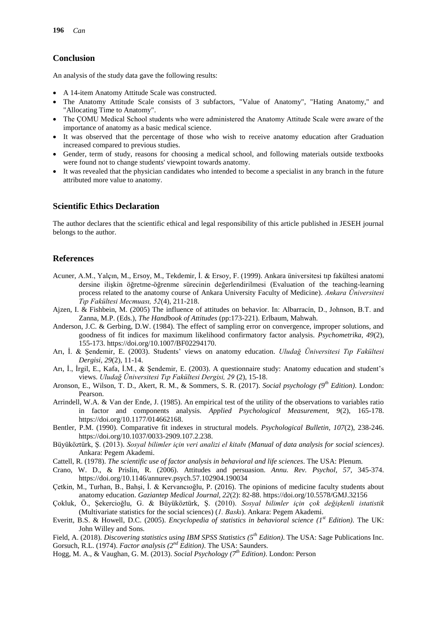## **Conclusion**

An analysis of the study data gave the following results:

- A 14-item Anatomy Attitude Scale was constructed.
- The Anatomy Attitude Scale consists of 3 subfactors, "Value of Anatomy", "Hating Anatomy," and "Allocating Time to Anatomy".
- The COMU Medical School students who were administered the Anatomy Attitude Scale were aware of the importance of anatomy as a basic medical science.
- It was observed that the percentage of those who wish to receive anatomy education after Graduation increased compared to previous studies.
- Gender, term of study, reasons for choosing a medical school, and following materials outside textbooks were found not to change students' viewpoint towards anatomy.
- It was revealed that the physician candidates who intended to become a specialist in any branch in the future attributed more value to anatomy.

## **Scientific Ethics Declaration**

The author declares that the scientific ethical and legal responsibility of this article published in JESEH journal belongs to the author.

## **References**

- Acuner, A.M., Yalçın, M., Ersoy, M., Tekdemir, İ. & Ersoy, F. (1999). Ankara üniversitesi tıp fakültesi anatomi dersine ilişkin öğretme-öğrenme sürecinin değerlendirilmesi (Evaluation of the teaching-learning process related to the anatomy course of Ankara University Faculty of Medicine). *Ankara Üniversitesi Tıp Fakültesi Mecmuası, 52*(4), 211-218.
- Ajzen, I. & Fishbein, M. (2005) The influence of attitudes on behavior. In: Albarracín, D., Johnson, B.T. and Zanna, M.P. (Eds.), *The Handbook of Attitudes* (pp:173-221). Erlbaum, Mahwah.
- Anderson, J.C. & Gerbing, D.W. (1984). The effect of sampling error on convergence, improper solutions, and goodness of fit indices for maximum likelihood confirmatory factor analysis. *Psychometrika, 49*(2), 155-173. https://doi.org/10.1007/BF02294170.
- Arı, İ. & Şendemir, E. (2003). Students' views on anatomy education. *Uludağ Üniversitesi Tıp Fakültesi Dergisi, 29*(2), 11-14.
- Arı, İ., İrgil, E., Kafa, İ.M., & Şendemir, E. (2003). A questionnaire study: Anatomy education and student's views. *Uludağ Üniversitesi Tıp Fakültesi Dergisi, 29* (2), 15-18.
- Aronson, E., Wilson, T. D., Akert, R. M., & Sommers, S. R. (2017). *Social psychology (9th Edition)*. London: Pearson.
- Arrindell, W.A. & Van der Ende, J. (1985). An empirical test of the utility of the observations to variables ratio in factor and components analysis. *Applied Psychological Measurement, 9*(2), 165-178. https://doi.org/10.1177/014662168.
- Bentler, P.M. (1990). Comparative fit indexes in structural models. *Psychological Bulletin, 107*(2), 238-246. https://doi.org/10.1037/0033-2909.107.2.238.
- Büyüköztürk, Ş. (2013). *Sosyal bilimler için veri analizi el kitabı (Manual of data analysis for social sciences)*. Ankara: Pegem Akademi.
- Cattell, R. (1978). *The scientific use of factor analysis in behavioral and life sciences*. The USA: Plenum.
- Crano, W. D., & Prislin, R. (2006). Attitudes and persuasion. *Annu. Rev. Psychol, 57*, 345-374. https://doi.org/10.1146/annurev.psych.57.102904.190034
- Çetkin, M., Turhan, B., Bahşi, İ. & Kervancıoğlu, P. (2016). The opinions of medicine faculty students about anatomy education. *Gaziantep Medical Journal, 22*(2): 82-88. https://doi.org/10.5578/GMJ.32156
- Çokluk, Ö., Şekercioğlu, G. & Büyüköztürk, Ş. (2010). *Sosyal bilimler için çok değişkenli istatistik* (Multivariate statistics for the social sciences) (*1. Baskı*). Ankara: Pegem Akademi.
- Everitt, B.S. & Howell, D.C. (2005). *Encyclopedia of statistics in behavioral science (1st Edition)*. The UK: John Willey and Sons.
- Field, A. (2018). *Discovering statistics using IBM SPSS Statistics (5th Edition)*. The USA: Sage Publications Inc. Gorsuch, R.L. (1974). *Factor analysis (2nd Edition)*. The USA: Saunders.
- Hogg, M. A., & Vaughan, G. M. (2013). *Social Psychology (7th Edition)*. London: Person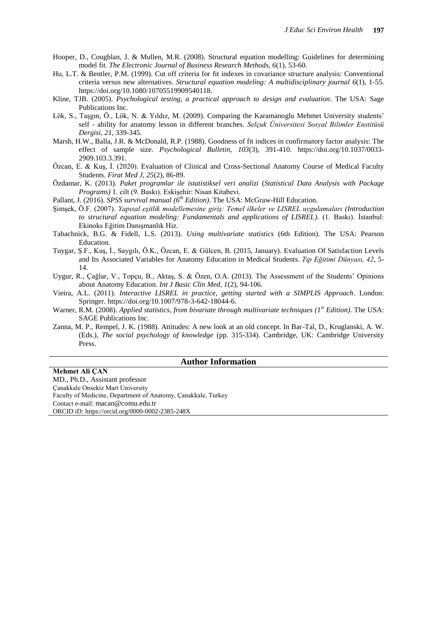- Hooper, D., Coughlan, J. & Mullen, M.R. (2008). Structural equation modelling: Guidelines for determining model fit. *The Electronic Journal of Business Research Methods, 6*(1), 53-60.
- Hu, L.T. & Bentler, P.M. (1999). Cut off criteria for fit indexes in covariance structure analysis: Conventional criteria versus new alternatives. *Structural equation modeling: A multidisciplinary journal 6*(1), 1-55. https://doi.org/10.1080/10705519909540118.
- Kline, TJB. (2005). *Psychological testing, a practical approach to design and evaluation*. The USA: Sage Publications Inc.
- Lök, S., Taşgın, Ö., Lök, N. & Yıldız, M. (2009). Comparing the Karamanoglu Mehmet University students' self - ability for anatomy lesson in different branches. *Selçuk Üniversitesi Sosyal Bilimler Enstitüsü Dergisi, 21*, 339-345.
- Marsh, H.W., Balla, J.R. & McDonald, R.P. (1988). Goodness of fit indices in confirmatory factor analysis: The effect of sample size. *Psychological Bulletin, 103*(3), 391-410. https://doi.org/10.1037/0033- 2909.103.3.391.
- Özcan, E. & Kuş, İ. (2020). Evaluation of Clinical and Cross-Sectional Anatomy Course of Medical Faculty Students. *Firat Med J, 25*(2), 86-89.
- Özdamar, K. (2013). *Paket programlar ile istatistiksel veri analizi* (*Statistical Data Analysis with Package Programs)* 1. cilt (9. Baskı). Eskişehir: Nisan Kitabevi.
- Pallant, J. (2016). *SPSS survival manual (6th Edition)*. The USA: McGraw-Hill Education.
- Şimşek, Ö.F. (2007). *Yapısal eşitlik modellemesine giriş: Temel ilkeler ve LISREL uygulamaları (Introduction to structural equation modeling: Fundamentals and applications of LISREL).* (1. Baskı). İstanbul: Ekinoks Eğitim Danışmanlık Hiz.
- Tabachnick, B.G. & Fidell, L.S. (2013). *Using multivariate statistics* (6th Edition). The USA: Pearson Education.
- Tuygar, Ş.F., Kuş, İ., Saygılı, Ö.K., Özcan, E. & Gülcen, B. (2015, January). Evaluation Of Satisfaction Levels and Its Associated Variables for Anatomy Education in Medical Students. *Tıp Eğitimi Dünyası, 42*, 5- 14.
- Uygur, R., Çağlar, V., Topçu, B., Aktaş, S. & Özen, O.A. (2013). The Assessment of the Students' Opinions about Anatomy Education. *Int J Basic Clin Med, 1*(2), 94-106.
- Vieira, A.L. (2011). *Interactive LISREL in practice, getting started with a SIMPLIS Approach*. London: Springer. https://doi.org/10.1007/978-3-642-18044-6.
- Warner, R.M. (2008). *Applied statistics, from bivariate through multivariate techniques (1st Edition)*. The USA: SAGE Publications Inc.
- Zanna, M. P., Rempel, J. K. (1988). Attitudes: A new look at an old concept. In Bar-Tal, D., Kruglanski, A. W. (Eds.), *The social psychology of knowledge* (pp. 315-334). Cambridge, UK: Cambridge University Press.

#### **Author Information**

**Mehmet Ali ÇAN** MD., Ph.D., Assistant professor Çanakkale Onsekiz Mart University Faculty of Medicine, Department of Anatomy, Çanakkale, Turkey Contact e-mail: macan@comu.edu.tr ORCID iD: https://orcid.org/0000-0002-2385-248X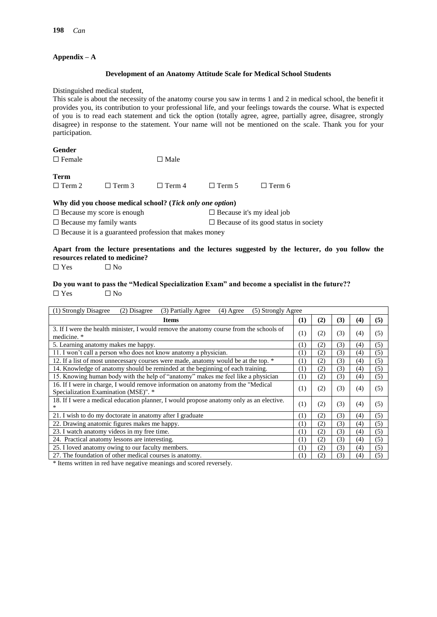#### **Appendix – A**

#### **Development of an Anatomy Attitude Scale for Medical School Students**

Distinguished medical student,

This scale is about the necessity of the anatomy course you saw in terms 1 and 2 in medical school, the benefit it provides you, its contribution to your professional life, and your feelings towards the course. What is expected of you is to read each statement and tick the option (totally agree, agree, partially agree, disagree, strongly disagree) in response to the statement. Your name will not be mentioned on the scale. Thank you for your participation.

| <b>Gender</b>                     |                                                           |                |                                  |                                              |  |  |  |
|-----------------------------------|-----------------------------------------------------------|----------------|----------------------------------|----------------------------------------------|--|--|--|
| $\Box$ Female                     |                                                           | $\square$ Male |                                  |                                              |  |  |  |
| <b>Term</b>                       |                                                           |                |                                  |                                              |  |  |  |
| $\Box$ Term 2                     | $\Box$ Term 3                                             | $\Box$ Term 4  | $\Box$ Term 5                    | $\Box$ Term 6                                |  |  |  |
|                                   | Why did you choose medical school? (Tick only one option) |                |                                  |                                              |  |  |  |
| $\Box$ Because my score is enough |                                                           |                | $\Box$ Because it's my ideal job |                                              |  |  |  |
| $\Box$ Because my family wants    |                                                           |                |                                  | $\Box$ Because of its good status in society |  |  |  |

 $\Box$  Because it is a guaranteed profession that makes money

## **Apart from the lecture presentations and the lectures suggested by the lecturer, do you follow the resources related to medicine?**

 $\square$  Yes  $\square$  No

#### **Do you want to pass the "Medical Specialization Exam" and become a specialist in the future??**  $\square$  Yes  $\square$  No

| (1) Strongly Disagree<br>(3) Partially Agree<br>(2) Disagree<br>(5) Strongly Agree<br>$(4)$ Agree                         |     |     |     |     |     |  |  |  |
|---------------------------------------------------------------------------------------------------------------------------|-----|-----|-----|-----|-----|--|--|--|
| <b>Items</b>                                                                                                              | (1) | (2) | (3) | (4) | (5) |  |  |  |
| 3. If I were the health minister, I would remove the anatomy course from the schools of<br>medicine. *                    | (1) | (2) | (3) | (4) | (5) |  |  |  |
| 5. Learning anatomy makes me happy.                                                                                       | (1) | (2) | 3)  | (4) | (5) |  |  |  |
| 11. I won't call a person who does not know anatomy a physician.                                                          | (1) | (2) | 3)  | (4) | (5) |  |  |  |
| 12. If a list of most unnecessary courses were made, anatomy would be at the top. *                                       | (1) | (2) | 3)  | (4) | (5) |  |  |  |
| 14. Knowledge of anatomy should be reminded at the beginning of each training.                                            | (1) | (2) | 3)  | (4) | (5) |  |  |  |
| 15. Knowing human body with the help of "anatomy" makes me feel like a physician                                          | (1) | (2) | (3) | (4) | (5) |  |  |  |
| 16. If I were in charge, I would remove information on anatomy from the "Medical"<br>Specialization Examination (MSE)". * | (1) | (2) | (3) | (4) | (5) |  |  |  |
| 18. If I were a medical education planner, I would propose anatomy only as an elective.<br>*                              | (1) | (2) | (3) | (4) | (5) |  |  |  |
| 21. I wish to do my doctorate in anatomy after I graduate                                                                 | (1) | (2) | 3)  | (4) | (5) |  |  |  |
| 22. Drawing anatomic figures makes me happy.                                                                              | (1) | (2) | (3) | (4) | (5) |  |  |  |
| 23. I watch anatomy videos in my free time.                                                                               | (1) | (2) | 3)  | (4) | (5) |  |  |  |
| 24. Practical anatomy lessons are interesting.                                                                            | (1) | (2) | 3)  | (4) | (5) |  |  |  |
| 25. I loved anatomy owing to our faculty members.                                                                         | (1) | (2) | 3)  | (4) | (5) |  |  |  |
| 27. The foundation of other medical courses is anatomy.                                                                   | (1) | (2) | 3)  | (4) | (5) |  |  |  |

\* Items written in red have negative meanings and scored reversely.